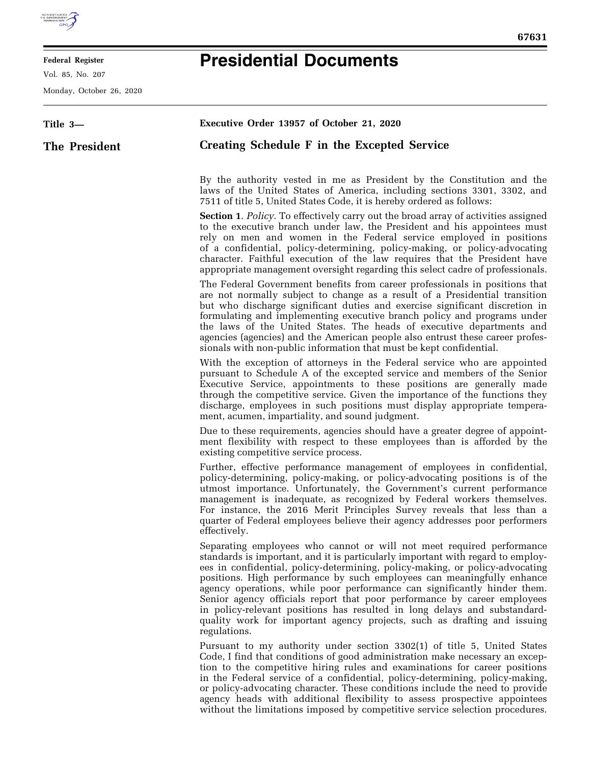

## **Federal Register**

Vol. 85, No. 207

Monday, October 26, 2020

## **Presidential Documents**

| Title 3-      | Executive Order 13957 of October 21, 2020                                                                                                                                                                                                                                                                                                                                                                                                                                                                                                                                                                                                           |
|---------------|-----------------------------------------------------------------------------------------------------------------------------------------------------------------------------------------------------------------------------------------------------------------------------------------------------------------------------------------------------------------------------------------------------------------------------------------------------------------------------------------------------------------------------------------------------------------------------------------------------------------------------------------------------|
| The President | Creating Schedule F in the Excepted Service                                                                                                                                                                                                                                                                                                                                                                                                                                                                                                                                                                                                         |
|               | By the authority vested in me as President by the Constitution and the<br>laws of the United States of America, including sections 3301, 3302, and<br>7511 of title 5, United States Code, it is hereby ordered as follows:                                                                                                                                                                                                                                                                                                                                                                                                                         |
|               | <b>Section 1.</b> Policy. To effectively carry out the broad array of activities assigned<br>to the executive branch under law, the President and his appointees must<br>rely on men and women in the Federal service employed in positions<br>of a confidential, policy-determining, policy-making, or policy-advocating<br>character. Faithful execution of the law requires that the President have<br>appropriate management oversight regarding this select cadre of professionals.                                                                                                                                                            |
|               | The Federal Government benefits from career professionals in positions that<br>are not normally subject to change as a result of a Presidential transition<br>but who discharge significant duties and exercise significant discretion in<br>formulating and implementing executive branch policy and programs under<br>the laws of the United States. The heads of executive departments and<br>agencies (agencies) and the American people also entrust these career profes-<br>sionals with non-public information that must be kept confidential.                                                                                               |
|               | With the exception of attorneys in the Federal service who are appointed<br>pursuant to Schedule A of the excepted service and members of the Senior<br>Executive Service, appointments to these positions are generally made<br>through the competitive service. Given the importance of the functions they<br>discharge, employees in such positions must display appropriate tempera-<br>ment, acumen, impartiality, and sound judgment.                                                                                                                                                                                                         |
|               | Due to these requirements, agencies should have a greater degree of appoint-<br>ment flexibility with respect to these employees than is afforded by the<br>existing competitive service process.                                                                                                                                                                                                                                                                                                                                                                                                                                                   |
|               | Further, effective performance management of employees in confidential,<br>policy-determining, policy-making, or policy-advocating positions is of the<br>utmost importance. Unfortunately, the Government's current performance<br>management is inadequate, as recognized by Federal workers themselves.<br>For instance, the 2016 Merit Principles Survey reveals that less than a<br>quarter of Federal employees believe their agency addresses poor performers<br>effectively.                                                                                                                                                                |
|               | Separating employees who cannot or will not meet required performance<br>standards is important, and it is particularly important with regard to employ-<br>ees in confidential, policy-determining, policy-making, or policy-advocating<br>positions. High performance by such employees can meaningfully enhance<br>agency operations, while poor performance can significantly hinder them.<br>Senior agency officials report that poor performance by career employees<br>in policy-relevant positions has resulted in long delays and substandard-<br>quality work for important agency projects, such as drafting and issuing<br>regulations. |
|               | Pursuant to my authority under section 3302(1) of title 5, United States<br>Code, I find that conditions of good administration make necessary an excep-<br>tion to the competitive hiring rules and examinations for career positions<br>in the Federal service of a confidential, policy-determining, policy-making,<br>or policy-advocating character. These conditions include the need to provide<br>agency heads with additional flexibility to assess prospective appointees<br>without the limitations imposed by competitive service selection procedures.                                                                                 |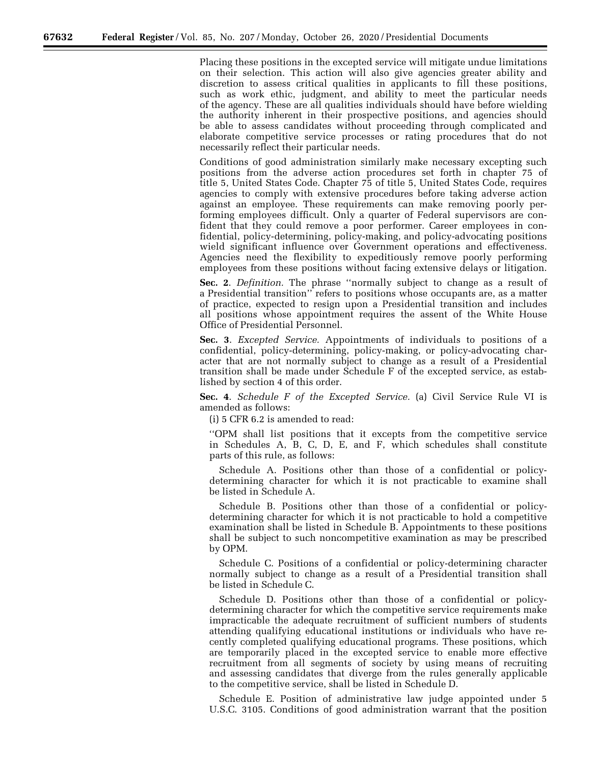Placing these positions in the excepted service will mitigate undue limitations on their selection. This action will also give agencies greater ability and discretion to assess critical qualities in applicants to fill these positions, such as work ethic, judgment, and ability to meet the particular needs of the agency. These are all qualities individuals should have before wielding the authority inherent in their prospective positions, and agencies should be able to assess candidates without proceeding through complicated and elaborate competitive service processes or rating procedures that do not necessarily reflect their particular needs.

Conditions of good administration similarly make necessary excepting such positions from the adverse action procedures set forth in chapter 75 of title 5, United States Code. Chapter 75 of title 5, United States Code, requires agencies to comply with extensive procedures before taking adverse action against an employee. These requirements can make removing poorly performing employees difficult. Only a quarter of Federal supervisors are confident that they could remove a poor performer. Career employees in confidential, policy-determining, policy-making, and policy-advocating positions wield significant influence over Government operations and effectiveness. Agencies need the flexibility to expeditiously remove poorly performing employees from these positions without facing extensive delays or litigation.

**Sec. 2**. *Definition.* The phrase ''normally subject to change as a result of a Presidential transition'' refers to positions whose occupants are, as a matter of practice, expected to resign upon a Presidential transition and includes all positions whose appointment requires the assent of the White House Office of Presidential Personnel.

**Sec. 3**. *Excepted Service.* Appointments of individuals to positions of a confidential, policy-determining, policy-making, or policy-advocating character that are not normally subject to change as a result of a Presidential transition shall be made under Schedule F of the excepted service, as established by section 4 of this order.

**Sec. 4**. *Schedule F of the Excepted Service.* (a) Civil Service Rule VI is amended as follows:

(i) 5 CFR 6.2 is amended to read:

''OPM shall list positions that it excepts from the competitive service in Schedules A, B, C, D, E, and F, which schedules shall constitute parts of this rule, as follows:

Schedule A. Positions other than those of a confidential or policydetermining character for which it is not practicable to examine shall be listed in Schedule A.

Schedule B. Positions other than those of a confidential or policydetermining character for which it is not practicable to hold a competitive examination shall be listed in Schedule B. Appointments to these positions shall be subject to such noncompetitive examination as may be prescribed by OPM.

Schedule C. Positions of a confidential or policy-determining character normally subject to change as a result of a Presidential transition shall be listed in Schedule C.

Schedule D. Positions other than those of a confidential or policydetermining character for which the competitive service requirements make impracticable the adequate recruitment of sufficient numbers of students attending qualifying educational institutions or individuals who have recently completed qualifying educational programs. These positions, which are temporarily placed in the excepted service to enable more effective recruitment from all segments of society by using means of recruiting and assessing candidates that diverge from the rules generally applicable to the competitive service, shall be listed in Schedule D.

Schedule E. Position of administrative law judge appointed under 5 U.S.C. 3105. Conditions of good administration warrant that the position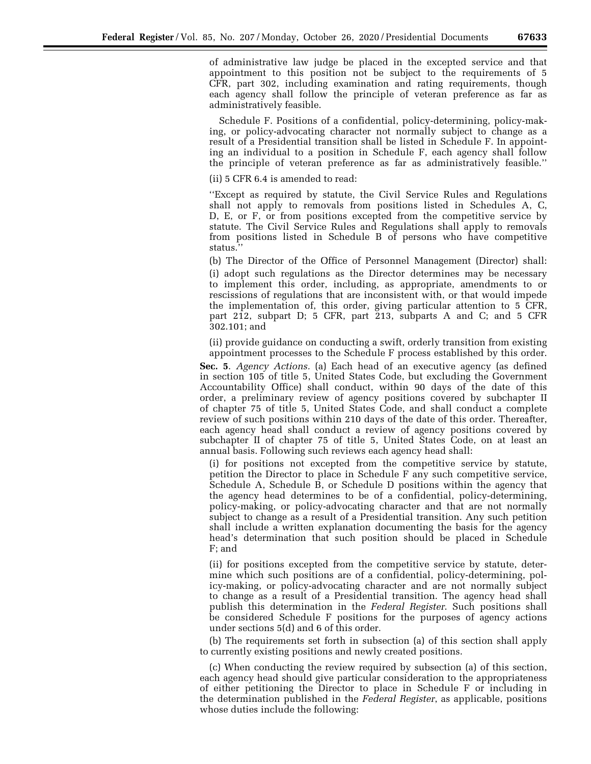of administrative law judge be placed in the excepted service and that appointment to this position not be subject to the requirements of 5 CFR, part 302, including examination and rating requirements, though each agency shall follow the principle of veteran preference as far as administratively feasible.

Schedule F. Positions of a confidential, policy-determining, policy-making, or policy-advocating character not normally subject to change as a result of a Presidential transition shall be listed in Schedule F. In appointing an individual to a position in Schedule F, each agency shall follow the principle of veteran preference as far as administratively feasible.''

(ii) 5 CFR 6.4 is amended to read:

''Except as required by statute, the Civil Service Rules and Regulations shall not apply to removals from positions listed in Schedules A, C, D, E, or F, or from positions excepted from the competitive service by statute. The Civil Service Rules and Regulations shall apply to removals from positions listed in Schedule B of persons who have competitive status.''

(b) The Director of the Office of Personnel Management (Director) shall: (i) adopt such regulations as the Director determines may be necessary to implement this order, including, as appropriate, amendments to or rescissions of regulations that are inconsistent with, or that would impede the implementation of, this order, giving particular attention to 5 CFR, part 212, subpart D; 5 CFR, part 213, subparts A and C; and 5 CFR 302.101; and

(ii) provide guidance on conducting a swift, orderly transition from existing

appointment processes to the Schedule F process established by this order. **Sec. 5**. *Agency Actions.* (a) Each head of an executive agency (as defined in section 105 of title 5, United States Code, but excluding the Government Accountability Office) shall conduct, within 90 days of the date of this order, a preliminary review of agency positions covered by subchapter II of chapter 75 of title 5, United States Code, and shall conduct a complete review of such positions within 210 days of the date of this order. Thereafter, each agency head shall conduct a review of agency positions covered by subchapter II of chapter 75 of title 5, United States Code, on at least an annual basis. Following such reviews each agency head shall:

(i) for positions not excepted from the competitive service by statute, petition the Director to place in Schedule F any such competitive service, Schedule A, Schedule B, or Schedule D positions within the agency that the agency head determines to be of a confidential, policy-determining, policy-making, or policy-advocating character and that are not normally subject to change as a result of a Presidential transition. Any such petition shall include a written explanation documenting the basis for the agency head's determination that such position should be placed in Schedule F; and

(ii) for positions excepted from the competitive service by statute, determine which such positions are of a confidential, policy-determining, policy-making, or policy-advocating character and are not normally subject to change as a result of a Presidential transition. The agency head shall publish this determination in the *Federal Register*. Such positions shall be considered Schedule F positions for the purposes of agency actions under sections 5(d) and 6 of this order.

(b) The requirements set forth in subsection (a) of this section shall apply to currently existing positions and newly created positions.

(c) When conducting the review required by subsection (a) of this section, each agency head should give particular consideration to the appropriateness of either petitioning the Director to place in Schedule F or including in the determination published in the *Federal Register*, as applicable, positions whose duties include the following: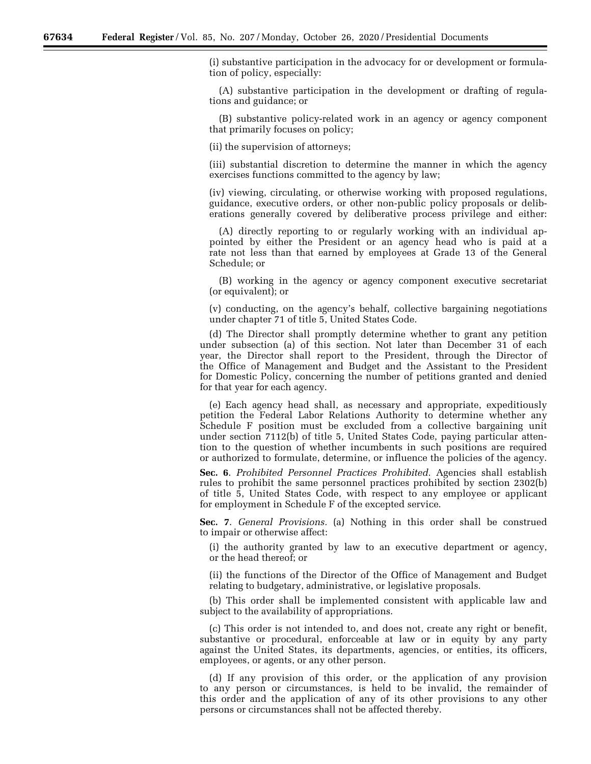(i) substantive participation in the advocacy for or development or formulation of policy, especially:

(A) substantive participation in the development or drafting of regulations and guidance; or

(B) substantive policy-related work in an agency or agency component that primarily focuses on policy;

(ii) the supervision of attorneys;

(iii) substantial discretion to determine the manner in which the agency exercises functions committed to the agency by law;

(iv) viewing, circulating, or otherwise working with proposed regulations, guidance, executive orders, or other non-public policy proposals or deliberations generally covered by deliberative process privilege and either:

(A) directly reporting to or regularly working with an individual appointed by either the President or an agency head who is paid at a rate not less than that earned by employees at Grade 13 of the General Schedule; or

(B) working in the agency or agency component executive secretariat (or equivalent); or

(v) conducting, on the agency's behalf, collective bargaining negotiations under chapter 71 of title 5, United States Code.

(d) The Director shall promptly determine whether to grant any petition under subsection (a) of this section. Not later than December 31 of each year, the Director shall report to the President, through the Director of the Office of Management and Budget and the Assistant to the President for Domestic Policy, concerning the number of petitions granted and denied for that year for each agency.

(e) Each agency head shall, as necessary and appropriate, expeditiously petition the Federal Labor Relations Authority to determine whether any Schedule F position must be excluded from a collective bargaining unit under section 7112(b) of title 5, United States Code, paying particular attention to the question of whether incumbents in such positions are required or authorized to formulate, determine, or influence the policies of the agency.

**Sec. 6**. *Prohibited Personnel Practices Prohibited.* Agencies shall establish rules to prohibit the same personnel practices prohibited by section 2302(b) of title 5, United States Code, with respect to any employee or applicant for employment in Schedule F of the excepted service.

**Sec. 7**. *General Provisions.* (a) Nothing in this order shall be construed to impair or otherwise affect:

(i) the authority granted by law to an executive department or agency, or the head thereof; or

(ii) the functions of the Director of the Office of Management and Budget relating to budgetary, administrative, or legislative proposals.

(b) This order shall be implemented consistent with applicable law and subject to the availability of appropriations.

(c) This order is not intended to, and does not, create any right or benefit, substantive or procedural, enforceable at law or in equity by any party against the United States, its departments, agencies, or entities, its officers, employees, or agents, or any other person.

(d) If any provision of this order, or the application of any provision to any person or circumstances, is held to be invalid, the remainder of this order and the application of any of its other provisions to any other persons or circumstances shall not be affected thereby.